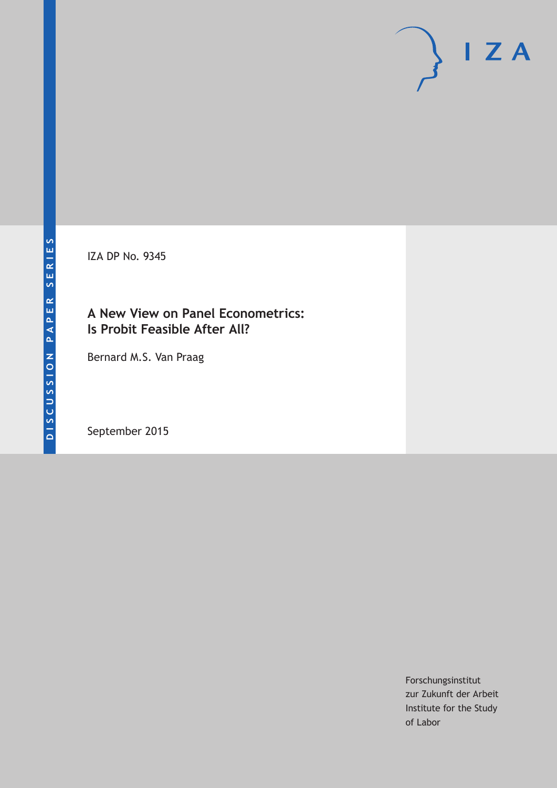IZA DP No. 9345

### **A New View on Panel Econometrics: Is Probit Feasible After All?**

Bernard M.S. Van Praag

September 2015

Forschungsinstitut zur Zukunft der Arbeit Institute for the Study of Labor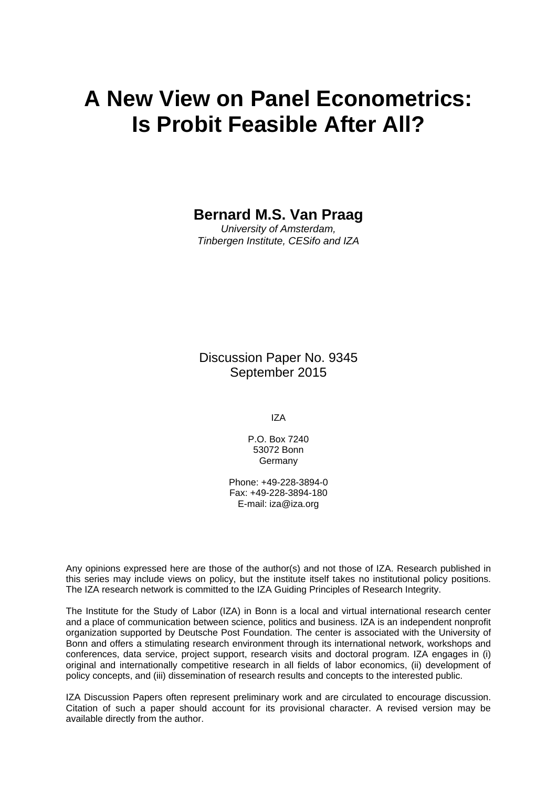# **A New View on Panel Econometrics: Is Probit Feasible After All?**

### **Bernard M.S. Van Praag**

*University of Amsterdam, Tinbergen Institute, CESifo and IZA* 

Discussion Paper No. 9345 September 2015

IZA

P.O. Box 7240 53072 Bonn Germany

Phone: +49-228-3894-0 Fax: +49-228-3894-180 E-mail: iza@iza.org

Any opinions expressed here are those of the author(s) and not those of IZA. Research published in this series may include views on policy, but the institute itself takes no institutional policy positions. The IZA research network is committed to the IZA Guiding Principles of Research Integrity.

The Institute for the Study of Labor (IZA) in Bonn is a local and virtual international research center and a place of communication between science, politics and business. IZA is an independent nonprofit organization supported by Deutsche Post Foundation. The center is associated with the University of Bonn and offers a stimulating research environment through its international network, workshops and conferences, data service, project support, research visits and doctoral program. IZA engages in (i) original and internationally competitive research in all fields of labor economics, (ii) development of policy concepts, and (iii) dissemination of research results and concepts to the interested public.

IZA Discussion Papers often represent preliminary work and are circulated to encourage discussion. Citation of such a paper should account for its provisional character. A revised version may be available directly from the author.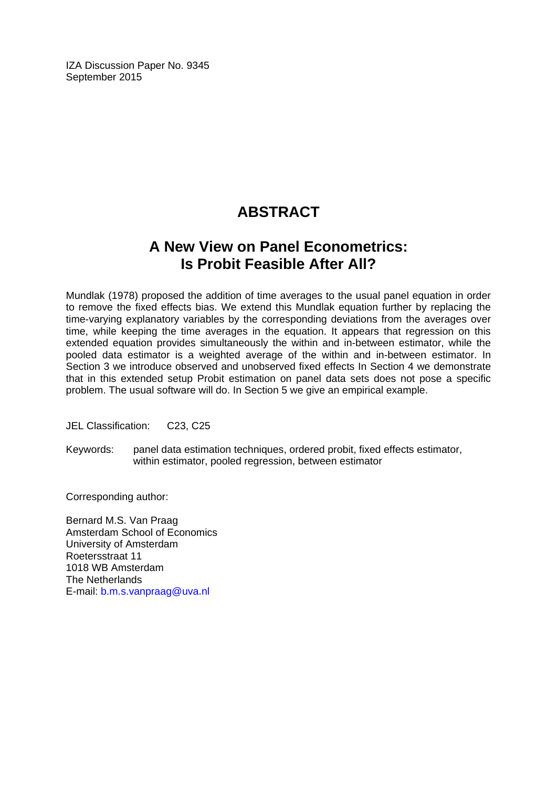IZA Discussion Paper No. 9345 September 2015

# **ABSTRACT**

## **A New View on Panel Econometrics: Is Probit Feasible After All?**

Mundlak (1978) proposed the addition of time averages to the usual panel equation in order to remove the fixed effects bias. We extend this Mundlak equation further by replacing the time-varying explanatory variables by the corresponding deviations from the averages over time, while keeping the time averages in the equation. It appears that regression on this extended equation provides simultaneously the within and in-between estimator, while the pooled data estimator is a weighted average of the within and in-between estimator. In Section 3 we introduce observed and unobserved fixed effects In Section 4 we demonstrate that in this extended setup Probit estimation on panel data sets does not pose a specific problem. The usual software will do. In Section 5 we give an empirical example.

JEL Classification: C23, C25

Keywords: panel data estimation techniques, ordered probit, fixed effects estimator, within estimator, pooled regression, between estimator

Corresponding author:

Bernard M.S. Van Praag Amsterdam School of Economics University of Amsterdam Roetersstraat 11 1018 WB Amsterdam The Netherlands E-mail: b.m.s.vanpraag@uva.nl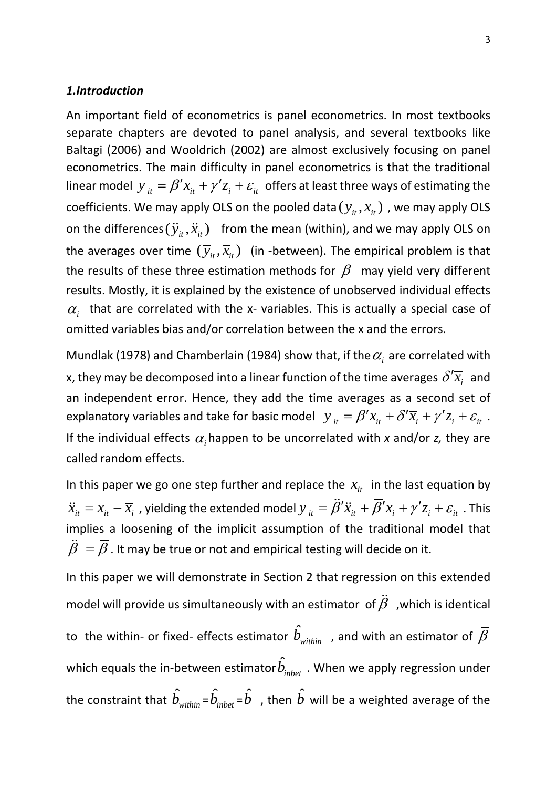#### *1.Introduction*

An important field of econometrics is panel econometrics. In most textbooks separate chapters are devoted to panel analysis, and several textbooks like Baltagi (2006) and Wooldrich (2002) are almost exclusively focusing on panel econometrics. The main difficulty in panel econometrics is that the traditional linear model  $y_{it} = \beta' x_{it} + \gamma' z_i + \varepsilon_{it}$  offers at least three ways of estimating the coefficients. We may apply OLS on the pooled data  $(y_{it}, x_{it})$ , we may apply OLS on the differences  $(\ddot{y}_i, \ddot{x}_i)$  from the mean (within), and we may apply OLS on the averages over time  $(\overline{y}_{it}, \overline{x}_{it})$  (in -between). The empirical problem is that the results of these three estimation methods for  $\beta$  may yield very different results. Mostly, it is explained by the existence of unobserved individual effects  $\alpha$ <sub>i</sub> that are correlated with the x- variables. This is actually a special case of omitted variables bias and/or correlation between the x and the errors.

Mundlak (1978) and Chamberlain (1984) show that, if the  $\alpha_i$  are correlated with x, they may be decomposed into a linear function of the time averages  $\mathcal{S}'\overline{x_i}\,$  and an independent error. Hence, they add the time averages as a second set of explanatory variables and take for basic model  $y_{it} = \beta' x_{it} + \delta' \overline{x_i} + \gamma' z_i + \varepsilon_{it}$ . If the individual effects  $\alpha_i$  happen to be uncorrelated with x and/or *z*, they are called random effects.

In this paper we go one step further and replace the  $x_{i}$  in the last equation by  $\ddot{x}_{it} = x_{it} - \overline{x}_i$  , yielding the extended model  $y_{it} = \ddot{\beta}'\ddot{x}_{it} + \overline{\beta}'\overline{x}_i + \gamma'z_i + \varepsilon_{it}$  . This implies a loosening of the implicit assumption of the traditional model that  $\ddot{\beta} = \overline{\beta}$ . It may be true or not and empirical testing will decide on it.

In this paper we will demonstrate in Section 2 that regression on this extended model will provide us simultaneously with an estimator of  $\ddot{\beta}~$  ,which is identical to the within- or fixed- effects estimator  $\hat{b}_{\text{\tiny within}}^{}$  , and with an estimator of  $\bar{\beta}$ which equals the in-between estimator $\hat{b}_{_{inbet}}$  . When we apply regression under the constraint that  $\hat{b}_{\textit{within}}$  =  $\hat{b}_{\textit{inbet}}$  =  $\hat{b}$  , then  $\hat{b}$  will be a weighted average of the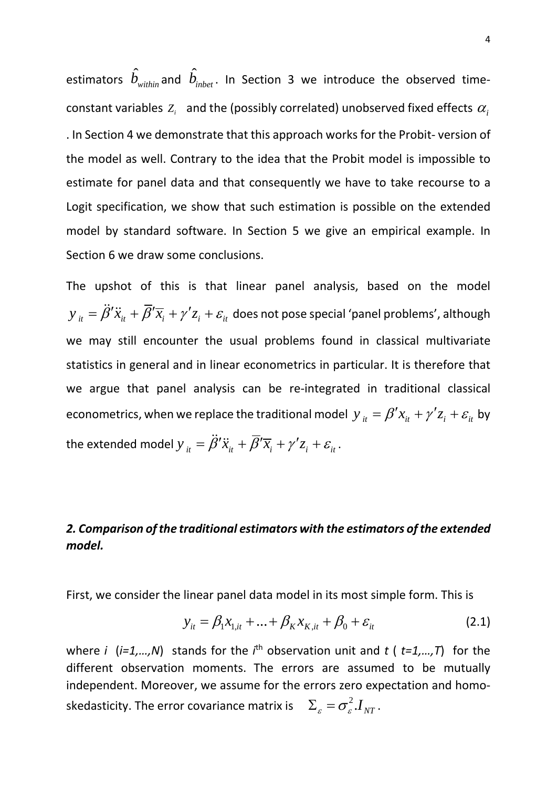estimators  $\hat{b}_{\textit{within}}$  and  $\hat{b}_{\textit{inbet}}$ . In Section 3 we introduce the observed timeconstant variables  $Z_i$  and the (possibly correlated) unobserved fixed effects  $\alpha_i$ . In Section 4 we demonstrate that this approach works for the Probit- version of the model as well. Contrary to the idea that the Probit model is impossible to estimate for panel data and that consequently we have to take recourse to a Logit specification, we show that such estimation is possible on the extended model by standard software. In Section 5 we give an empirical example. In Section 6 we draw some conclusions.

The upshot of this is that linear panel analysis, based on the model  $y_{i_t} = \ddot{\beta}' \ddot{x}_{i_t} + \overline{\beta}' \overline{x}_i + \gamma' z_i + \varepsilon_{it}$  does not pose special 'panel problems', although we may still encounter the usual problems found in classical multivariate statistics in general and in linear econometrics in particular. It is therefore that we argue that panel analysis can be re-integrated in traditional classical econometrics, when we replace the traditional model  $y_{it} = \beta' x_{it} + \gamma' z_i + \varepsilon_{it}$  by the extended model  $y_{i} = \ddot{\beta}' \ddot{x}_{i} + \overline{\beta}' \overline{x}_{i} + \gamma' z_{i} + \varepsilon_{i}$ .

### *2. Comparison of the traditional estimators with the estimators of the extended model.*

First, we consider the linear panel data model in its most simple form. This is

$$
y_{it} = \beta_1 x_{1,it} + ... + \beta_K x_{K,it} + \beta_0 + \varepsilon_{it}
$$
 (2.1)

where *i* (*i*=1,...,N) stands for the *i*<sup>th</sup> observation unit and *t* (  $t=1,...,T$ ) for the different observation moments. The errors are assumed to be mutually independent. Moreover, we assume for the errors zero expectation and homoskedasticity. The error covariance matrix is  $\sum_{\varepsilon} = \sigma_{\varepsilon}^2 I_{NT}$  .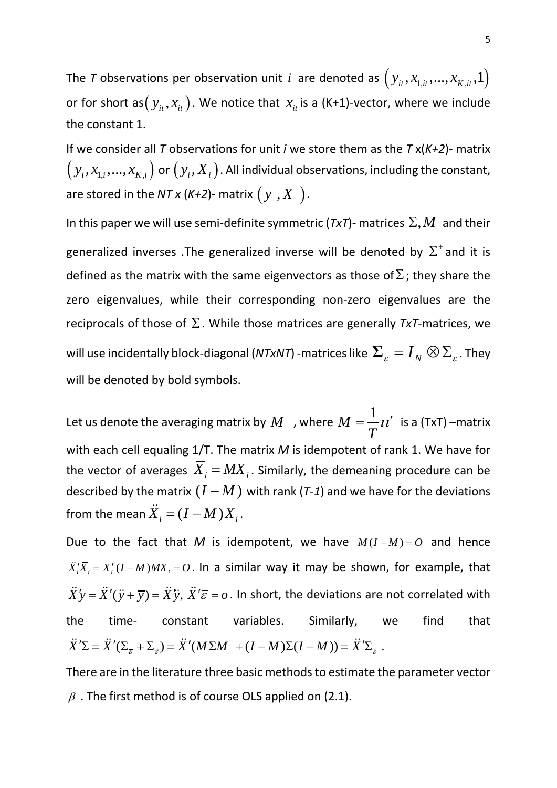The *T* observations per observation unit *i* are denoted as  $(y_{it}, x_{1,it}, ..., x_{K,it}, 1)$ or for short as $(y_{it}, x_{it})$ . We notice that  $x_{it}$  is a (K+1)-vector, where we include the constant 1.

If we consider all *T* observations for unit *i* we store them as the *T* x(*K+2*)- matrix  $\big(\, y_i, x_{1,i},...,x_{K,i}\,\big)$  or  $\big(\, y_i, X_i\,\big)$ . All individual observations, including the constant, are stored in the  $NTx$  ( $K+2$ )- matrix  $(y, X)$ .

In this paper we will use semi-definite symmetric ( $TxT$ )- matrices  $\Sigma, M$  and their generalized inverses .The generalized inverse will be denoted by  $\Sigma^+$  and it is defined as the matrix with the same eigenvectors as those of  $\Sigma$ ; they share the zero eigenvalues, while their corresponding non-zero eigenvalues are the reciprocals of those of Σ. While those matrices are generally *TxT*-matrices, we will use incidentally block-diagonal (*NTxNT*) -matrices like  $\sum_{\varepsilon} = I_{_N} \otimes \sum_{\varepsilon}$  . They will be denoted by bold symbols.

Let us denote the averaging matrix by  $M$  , where  $M=\frac{1}{M}$  $=\frac{1}{T}$ *i* is a (TxT) –matrix with each cell equaling 1/T. The matrix *M* is idempotent of rank 1. We have for the vector of averages  $\overline{X}_i = M X_i$ . Similarly, the demeaning procedure can be described by the matrix  $(I - M)$  with rank ( $T$ -1) and we have for the deviations from the mean  $\ddot{X}_i = (I - M)X_i$ .

Due to the fact that *M* is idempotent, we have  $M(I-M) = O$  and hence  $\ddot{X}'_{i} \overline{X}_{i} = X'_{i} (I-M)MX_{i} = 0$ . In a similar way it may be shown, for example, that  $\ddot{X} y = \ddot{X}'(\ddot{y} + \overline{y}) = \ddot{X} \ddot{y}, \ \ddot{X}'\overline{\varepsilon} = o$ . In short, the deviations are not correlated with the time- constant variables. Similarly, we find that  $\ddot{X}'\Sigma = \ddot{X}'(\Sigma_{\overline{g}} + \Sigma_{\overline{g}}) = \ddot{X}'(M\Sigma M + (I - M)\Sigma (I - M)) = \ddot{X}'\Sigma_{\overline{g}}$ .

There are in the literature three basic methods to estimate the parameter vector  $\beta$ . The first method is of course OLS applied on (2.1).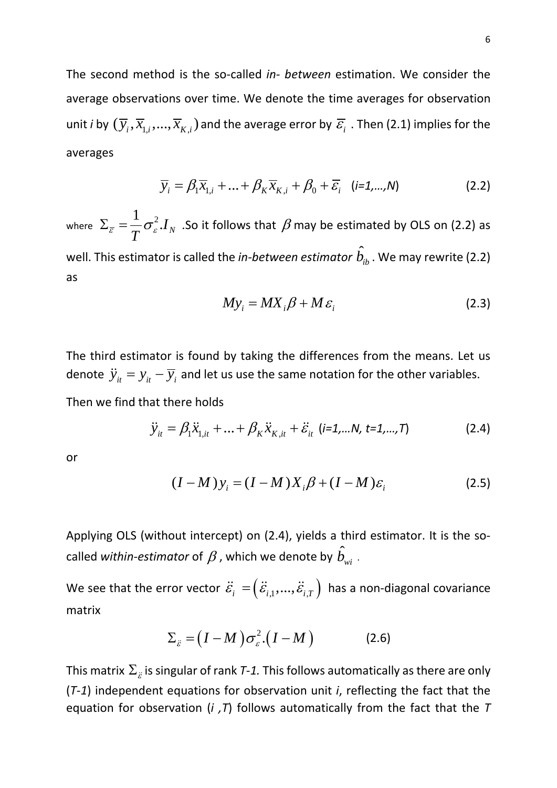The second method is the so-called *in- between* estimation. We consider the average observations over time. We denote the time averages for observation unit *i* by  $(\overline{y}_i, \overline{x}_{1,i}, ..., \overline{x}_{K,i})$  and the average error by  $\overline{\varepsilon}_i$  . Then (2.1) implies for the averages

$$
\overline{y}_i = \beta_1 \overline{x}_{1,i} + \dots + \beta_K \overline{x}_{K,i} + \beta_0 + \overline{\varepsilon}_i \quad (i=1,\dots,N)
$$
 (2.2)

where  $\Sigma_{\overline{c}} = \frac{1}{\sigma_c^2}$  $\boldsymbol{I}_N$ *T*  $\Sigma_{\overline{\varepsilon}} = \frac{1}{\pi} \sigma_{\varepsilon}^2 I_N$  . So it follows that  $\beta$  may be estimated by OLS on (2.2) as well. This estimator is called the *in-between estimator*  $\hat{b}_{ib}^{}$  *.* We may rewrite (2.2) as

$$
My_i = MX_i\beta + M\varepsilon_i
$$
 (2.3)

The third estimator is found by taking the differences from the means. Let us denote  $\ddot{y}_{it} = y_{it} - \overline{y}_{i}$  and let us use the same notation for the other variables. Then we find that there holds

$$
\ddot{y}_{it} = \beta_1 \ddot{x}_{1,it} + \ldots + \beta_K \ddot{x}_{K,it} + \ddot{\varepsilon}_{it} \quad (i=1,\ldots,N, \ t=1,\ldots,T) \tag{2.4}
$$

or

$$
(I-M)y_i = (I-M)X_i\beta + (I-M)\varepsilon_i
$$
\n(2.5)

Applying OLS (without intercept) on (2.4), yields a third estimator. It is the socalled *within-estimator* of  $\beta$  , which we denote by  $\hat{b}_{\tiny{wi}}$  .

We see that the error vector  $\ddot{\varepsilon}_i = (\ddot{\varepsilon}_{i,1},...,\ddot{\varepsilon}_{i,T})$  has a non-diagonal covariance matrix

$$
\Sigma_{\tilde{\varepsilon}} = (I - M) \sigma_{\varepsilon}^2 (I - M)
$$
 (2.6)

This matrix  $\Sigma_{\varepsilon}$  is singular of rank *T-1*. This follows automatically as there are only (*T-1*) independent equations for observation unit *i*, reflecting the fact that the equation for observation (*i ,T*) follows automatically from the fact that the *T*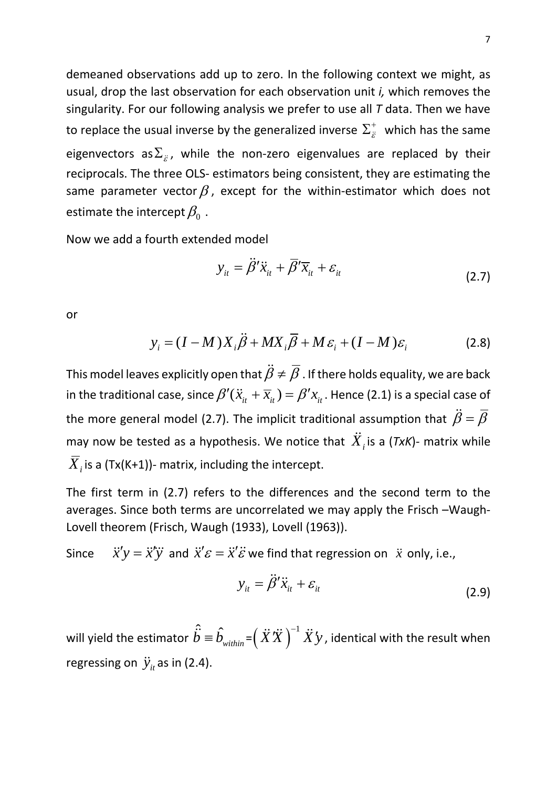demeaned observations add up to zero. In the following context we might, as usual, drop the last observation for each observation unit *i,* which removes the singularity. For our following analysis we prefer to use all *T* data. Then we have to replace the usual inverse by the generalized inverse  $\Sigma_{\ddot{\varepsilon}}^{+}$  which has the same eigenvectors as $\Sigma_{\tilde{\varepsilon}}$ , while the non-zero eigenvalues are replaced by their reciprocals. The three OLS- estimators being consistent, they are estimating the same parameter vector  $\beta$ , except for the within-estimator which does not estimate the intercept  $\beta_0$ .

Now we add a fourth extended model

$$
y_{it} = \ddot{\beta}' \ddot{x}_{it} + \overline{\beta}' \overline{x}_{it} + \varepsilon_{it}
$$
 (2.7)

or

$$
y_i = (I - M)X_i \ddot{\beta} + MX_i \overline{\beta} + M\varepsilon_i + (I - M)\varepsilon_i
$$
 (2.8)

This model leaves explicitly open that  $\ddot{\beta} \neq \overline{\beta}$  . If there holds equality, we are back in the traditional case, since  $\beta'(\ddot{x}_{it} + \overline{x}_{it}) = \beta' x_{it}$ . Hence (2.1) is a special case of the more general model (2.7). The implicit traditional assumption that  $\ddot{\beta} = \overline{\beta}$ may now be tested as a hypothesis. We notice that  $\ddot{X}_i$  is a (*TxK*)- matrix while  $\overline{X}_i$  is a (Tx(K+1))- matrix, including the intercept.

The first term in (2.7) refers to the differences and the second term to the averages. Since both terms are uncorrelated we may apply the Frisch –Waugh-Lovell theorem (Frisch, Waugh (1933), Lovell (1963)).

Since  $\ddot{x}'y = \ddot{x}'\ddot{y}$  and  $\ddot{x}'\varepsilon = \ddot{x}'\ddot{\varepsilon}$  we find that regression on  $\ddot{x}$  only, i.e.,

$$
y_{it} = \ddot{\beta}' \ddot{x}_{it} + \varepsilon_{it}
$$
 (2.9)

will yield the estimator  $\hat{\vec{b}} \equiv \hat{b}_{\text{\tiny within}} \!\!=\!\! \left(\ddot{X} \ddot{X}\,\right)^{\!-1} \ddot{X}^\prime \! y$  , identical with the result when regressing on  $\ddot{y}_{it}$  as in (2.4).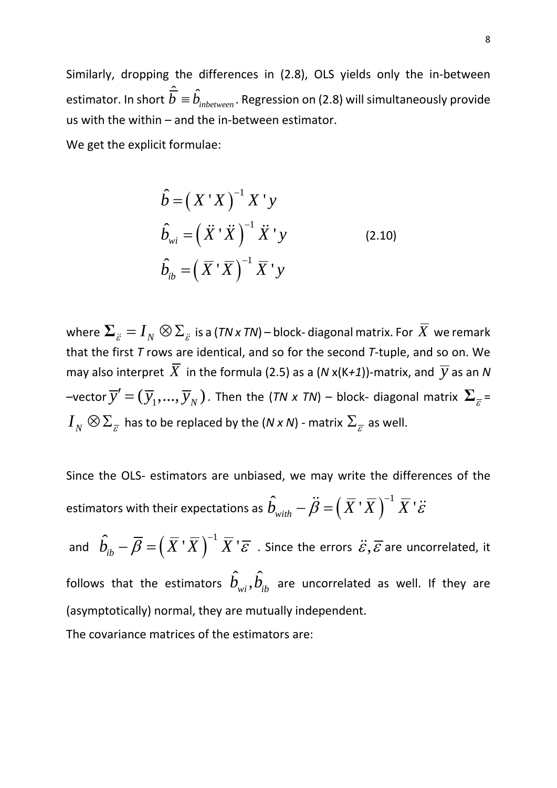Similarly, dropping the differences in (2.8), OLS yields only the in-between estimator. In short <sup>ˆ</sup> <sup>ˆ</sup> *inbetween b b* ≡ . Regression on (2.8) will simultaneously provide us with the within – and the in-between estimator.

We get the explicit formulae:

$$
\hat{b} = (X'X)^{-1}X'y
$$
  
\n
$$
\hat{b}_{wi} = (\ddot{X}'\ddot{X})^{-1}\ddot{X}'y
$$
\n
$$
\hat{b}_{ib} = (\overline{X}'\overline{X})^{-1}\overline{X}'y
$$
\n(2.10)

where  $\sum_{\ddot{E}} = I_N \otimes \sum_{\ddot{E}}$  is a (*TN x TN*) – block-diagonal matrix. For  $\overline{X}$  we remark that the first *T* rows are identical, and so for the second *T*-tuple, and so on. We may also interpret  $\overline{X}$  in the formula (2.5) as a (N x(K+1))-matrix, and  $\overline{y}$  as an N –vector  $\overline{y}'=(\overline{y}_1,...,\overline{y}_N)$  . Then the (*TN x TN*) – block- diagonal matrix  $\boldsymbol{\Sigma}_{\overline{\varepsilon}}$  =  $I_N\otimes \Sigma_{\overline{\varepsilon}}$  has to be replaced by the (*N x N*) - matrix  $\Sigma_{\overline{\varepsilon}}$  as well.

Since the OLS- estimators are unbiased, we may write the differences of the estimators with their expectations as  $\hat{b}_{_{\textit{with}}} - \ddot{\beta} = \left( \, \overline{X} \, {}^{\textstyle{}}\overline{X} \, \right)^{-1} \overline{X}$  '  $\ddot{\varepsilon}$ 

and  $\hat{b}_{ib}^{} - \overline{\beta} = \Bigr( \, \overline{X}^{\, *} \overline{X} \, \bigr)^{\!-1} \, \overline{X}^{\, *} \overline{\varepsilon} \,$  . Since the errors  $\ddot{\varepsilon}, \overline{\varepsilon}$  are uncorrelated, it follows that the estimators  $\hat{b}_{wi}, \hat{b}_{ib}$  are uncorrelated as well. If they are (asymptotically) normal, they are mutually independent.

The covariance matrices of the estimators are: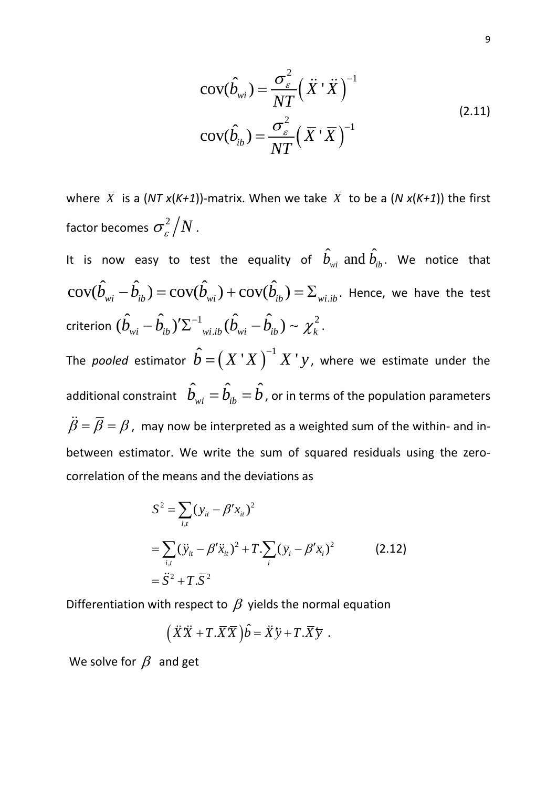$$
cov(\hat{b}_{wi}) = \frac{\sigma_{\varepsilon}^2}{NT} (\ddot{X} \dot{X})^{-1}
$$
  
\n
$$
cov(\hat{b}_{ib}) = \frac{\sigma_{\varepsilon}^2}{NT} (\overline{X} \dot{X})^{-1}
$$
\n(2.11)

where  $\overline{X}$  is a (*NT x*(*K+1*))-matrix. When we take  $\overline{X}$  to be a (*N x*(*K+1*)) the first factor becomes  $\sigma_{\varepsilon}^2/N$ .

It is now easy to test the equality of  $\hat{b}_{wi}$  and  $\hat{b}_{ib}$ . We notice that  $\text{cov}(\hat{b}_{wi} - \hat{b}_{ib}) = \text{cov}(\hat{b}_{wi}) + \text{cov}(\hat{b}_{ib}) = \Sigma_{wi, ib}$ . Hence, we have the test criterion  $(\hat{b}_{_{wi}}-\hat{b}_{_{ib}})'\Sigma^{-1}{}_{_{wi,ib}}(\hat{b}_{_{wi}}-\hat{b}_{_{ib}}) \thicksim \chi^2_k$  .

The *pooled* estimator  $\hat{b} = (X^{\top}X)^{-1}X^{\top}y$ , where we estimate under the additional constraint  $\;\hat{b}_{_{wi}}=\hat{b}_{_{ib}}=\hat{b}$  , or in terms of the population parameters  $\ddot{\beta} = \overline{\beta} = \beta$ , may now be interpreted as a weighted sum of the within- and inbetween estimator. We write the sum of squared residuals using the zerocorrelation of the means and the deviations as

$$
S^{2} = \sum_{i,t} (y_{it} - \beta' x_{it})^{2}
$$
  
=  $\sum_{i,t} (\ddot{y}_{it} - \beta' \ddot{x}_{it})^{2} + T \sum_{i} (\overline{y}_{i} - \beta' \overline{x}_{i})^{2}$  (2.12)  
=  $\ddot{S}^{2} + T \cdot \overline{S}^{2}$ 

Differentiation with respect to  $\beta$  yields the normal equation

$$
(\ddot{X}\ddot{X} + T.\overline{X}\overline{X})\hat{b} = \ddot{X}\ddot{y} + T.\overline{X}\overline{y} .
$$

We solve for  $\beta$  and get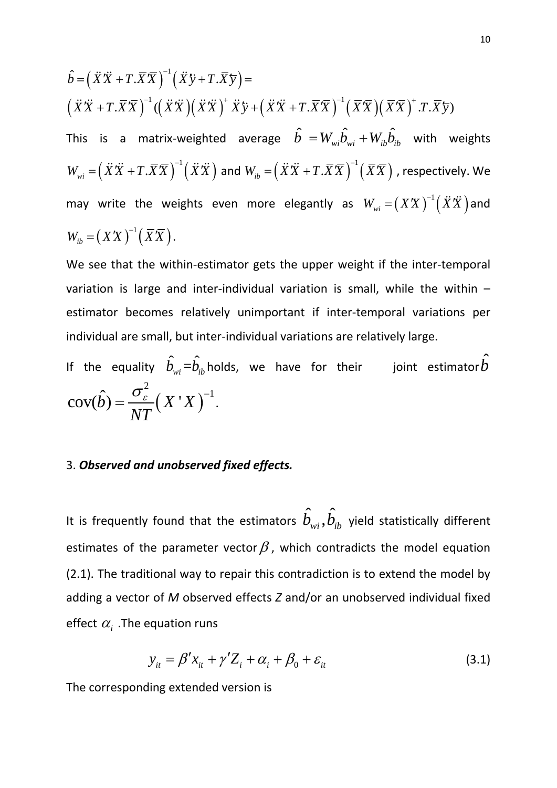$$
\hat{b} = (\ddot{X}\ddot{X} + T.\overline{X}\overline{X})^{-1}(\ddot{X}\ddot{y} + T.\overline{X}\overline{y}) =
$$
\n
$$
(\ddot{X}\ddot{X} + T.\overline{X}\overline{X})^{-1}((\ddot{X}\ddot{X})(\ddot{X}\ddot{X})^{+}\dot{X}\ddot{y} + (\ddot{X}\ddot{X} + T.\overline{X}\overline{X})^{-1}(\overline{X}\overline{X})(\overline{X}\overline{X})^{+}.T.\overline{X}\overline{y})
$$
\nThis is a matrix-weighted average  $\hat{b} = W_{wi}\hat{b}_{wi} + W_{ib}\hat{b}_{ib}$  with weights\n
$$
W_{wi} = (\ddot{X}\ddot{X} + T.\overline{X}\overline{X})^{-1}(\ddot{X}\ddot{X}) \text{ and } W_{ib} = (\ddot{X}\ddot{X} + T.\overline{X}\overline{X})^{-1}(\overline{X}\overline{X}) \text{, respectively. We may write the weights even more elegantly as } W_{wi} = (XX)^{-1}(\ddot{X}\ddot{X}) \text{ and }
$$
\n
$$
W_{ib} = (XX)^{-1}(\overline{X}\overline{X}).
$$

We see that the within-estimator gets the upper weight if the inter-temporal variation is large and inter-individual variation is small, while the within – estimator becomes relatively unimportant if inter-temporal variations per individual are small, but inter-individual variations are relatively large.

If the equality  $\hat{b}_{\scriptscriptstyle{wi}}\!=\!\!\hat{b}_{\scriptscriptstyle{ib}}$ holds, we have for their  $\;\;$  joint estimator $\hat{b}$  $(X^{\,\cdot}X\,)$ 2  $cov(\hat{b}) = \frac{\sigma_{\varepsilon}}{N} (X'X)^{-1}$ *NT*  $=\frac{\sigma_{\varepsilon}}{2\pi\epsilon}(X'X)^{-1}.$ 

#### 3. *Observed and unobserved fixed effects.*

It is frequently found that the estimators  $\hat{b}_{wi}, \hat{b}_{ib}$  yield statistically different estimates of the parameter vector  $\beta$ , which contradicts the model equation (2.1). The traditional way to repair this contradiction is to extend the model by adding a vector of *M* observed effects *Z* and/or an unobserved individual fixed effect  $\alpha_i$ . The equation runs

$$
y_{it} = \beta' x_{it} + \gamma' Z_i + \alpha_i + \beta_0 + \varepsilon_{it}
$$
\n(3.1)

The corresponding extended version is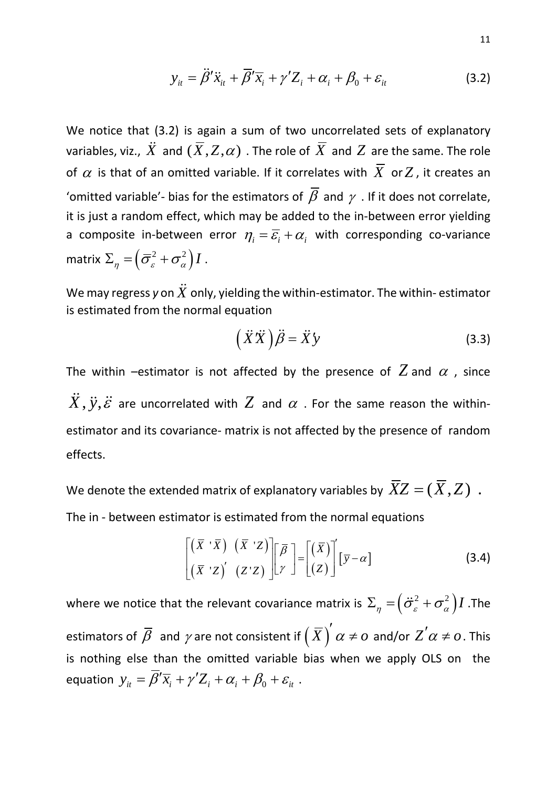$$
y_{it} = \ddot{\beta}' \ddot{x}_{it} + \overline{\beta}' \overline{x}_{i} + \gamma' Z_{i} + \alpha_{i} + \beta_{0} + \varepsilon_{it}
$$
 (3.2)

We notice that (3.2) is again a sum of two uncorrelated sets of explanatory variables, viz.,  $\ddot{X}$  and  $(\overline{X},Z,\alpha)$  . The role of  $\overline{X}$  and  $Z$  are the same. The role of  $\alpha$  is that of an omitted variable. If it correlates with  $\overline{X}$  or Z, it creates an 'omitted variable'- bias for the estimators of  $\overline{\beta}$  and  $\gamma$  . If it does not correlate, it is just a random effect, which may be added to the in-between error yielding a composite in-between error  $\eta_i = \overline{\varepsilon}_i + \alpha_i$  with corresponding co-variance matrix  $\Sigma_n = (\bar{\sigma}_\varepsilon^2 + \sigma_\alpha^2) I$ .

We may regress y on  $\ddot{X}$  only, yielding the within-estimator. The within-estimator is estimated from the normal equation

$$
\left(\ddot{X}\ddot{X}\right)\ddot{\beta} = \ddot{X}\dot{Y}
$$
\n(3.3)

The within –estimator is not affected by the presence of  $Z$  and  $\alpha$ , since  $\ddot{X}, \ddot{y}, \ddot{\varepsilon}$  are uncorrelated with  $Z$  and  $\alpha$  . For the same reason the withinestimator and its covariance- matrix is not affected by the presence of random effects.

We denote the extended matrix of explanatory variables by  $\overline{XZ} = (\overline{X},Z)$ .

The in - between estimator is estimated from the normal equations

$$
\begin{bmatrix}\n(\overline{X} \cdot \overline{X}) & (\overline{X} \cdot Z) \\
(\overline{X} \cdot Z)' & (Z \cdot Z)\n\end{bmatrix}\n\begin{bmatrix}\n\overline{\beta} \\
\gamma\n\end{bmatrix} =\n\begin{bmatrix}\n(\overline{X}) \\
(Z)\n\end{bmatrix}'\n\begin{bmatrix}\n\overline{y} - \alpha\n\end{bmatrix}
$$
\n(3.4)

where we notice that the relevant covariance matrix is  $\Sigma_n = (\ddot{\sigma}_s^2 + \sigma_\alpha^2) I$ . The estimators of  $\beta$  and  $\gamma$  are not consistent if  $\big(X\big)$   $\alpha$   $\neq$   $o$ ′  $\neq$  0 and/or  $Z^{'}\alpha \neq o$  . This is nothing else than the omitted variable bias when we apply OLS on the equation  $y_{it} = \overline{\beta}' \overline{x_i} + \gamma' Z_i + \alpha_i + \beta_0 + \varepsilon_{it}$ .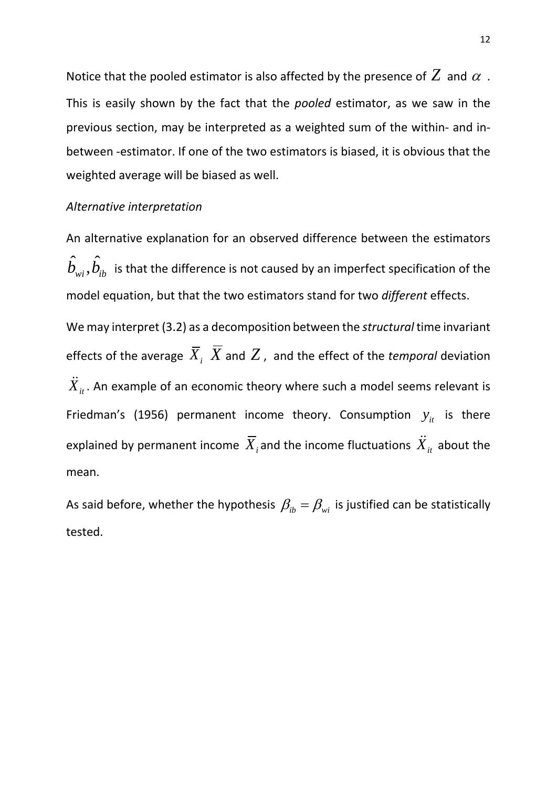Notice that the pooled estimator is also affected by the presence of  $Z$  and  $\alpha$  . This is easily shown by the fact that the *pooled* estimator, as we saw in the previous section, may be interpreted as a weighted sum of the within- and inbetween -estimator. If one of the two estimators is biased, it is obvious that the weighted average will be biased as well.

#### *Alternative interpretation*

An alternative explanation for an observed difference between the estimators  $\hat{b}_{\omega i}, \hat{b}_{\overline{i}b}$  is that the difference is not caused by an imperfect specification of the model equation, but that the two estimators stand for two *different* effects.

We may interpret (3.2) as a decomposition between the *structural* time invariant effects of the average  $\overline{X}_i$ ,  $\overline{X}$  and  $Z$ , and the effect of the *temporal* deviation  $\ddot{X}_{it}$ . An example of an economic theory where such a model seems relevant is Friedman's (1956) permanent income theory. Consumption  $y_{it}$  is there explained by permanent income  $\overline{X}_i$  and the income fluctuations  $\ddot{X}_i$  about the mean.

As said before, whether the hypothesis  $\beta_{ib} = \beta_{wi}$  is justified can be statistically tested.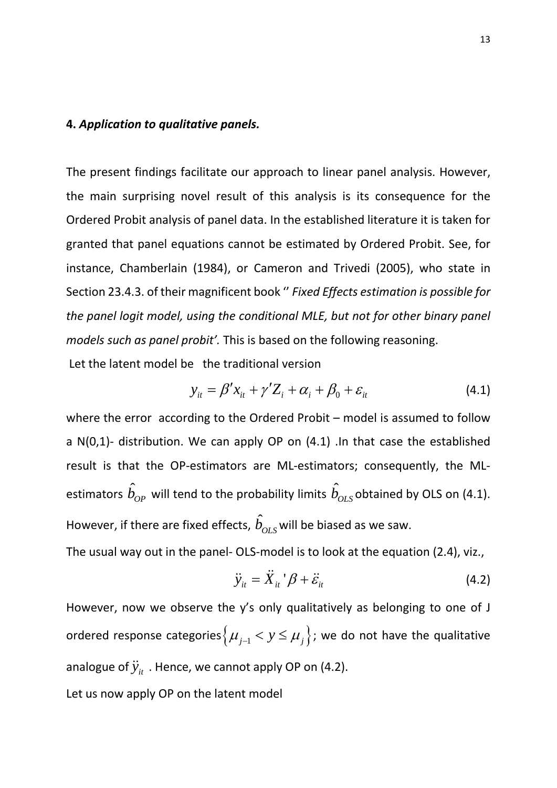#### **4.** *Application to qualitative panels.*

The present findings facilitate our approach to linear panel analysis. However, the main surprising novel result of this analysis is its consequence for the Ordered Probit analysis of panel data. In the established literature it is taken for granted that panel equations cannot be estimated by Ordered Probit. See, for instance, Chamberlain (1984), or Cameron and Trivedi (2005), who state in Section 23.4.3. of their magnificent book '' *Fixed Effects estimation is possible for the panel logit model, using the conditional MLE, but not for other binary panel models such as panel probit'.* This is based on the following reasoning.

Let the latent model be the traditional version

$$
y_{it} = \beta' x_{it} + \gamma' Z_i + \alpha_i + \beta_0 + \varepsilon_{it}
$$
\n(4.1)

where the error according to the Ordered Probit – model is assumed to follow a N(0,1)- distribution. We can apply OP on (4.1) .In that case the established result is that the OP-estimators are ML-estimators; consequently, the MLestimators  $\hat{b}_{op}$  will tend to the probability limits  $\hat{b}_{OLS}$  obtained by OLS on (4.1). However, if there are fixed effects,  $\hat{b}_{OLS}$  will be biased as we saw.

The usual way out in the panel- OLS-model is to look at the equation (2.4), viz.,

$$
\ddot{y}_{it} = \ddot{X}_{it} \, {}^{t} \beta + \ddot{\varepsilon}_{it} \tag{4.2}
$$

However, now we observe the y's only qualitatively as belonging to one of J ordered response categories $\{\mu_{j-1} < y \leq \mu_j\}$ ; we do not have the qualitative analogue of  $\ddot{y}_i$ . Hence, we cannot apply OP on (4.2).

Let us now apply OP on the latent model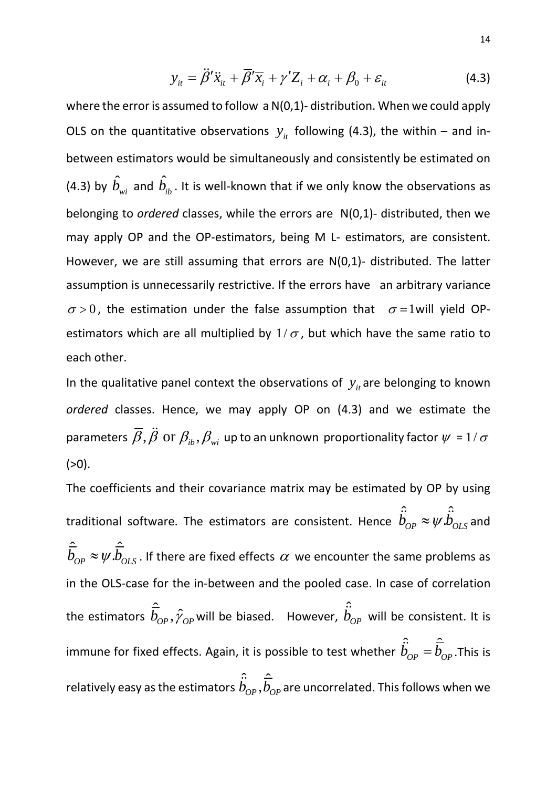$$
y_{it} = \ddot{\beta}' \ddot{x}_{it} + \overline{\beta}' \overline{x}_{i} + \gamma' Z_{i} + \alpha_{i} + \beta_{0} + \varepsilon_{it}
$$
 (4.3)

where the error is assumed to follow a  $N(0,1)$ - distribution. When we could apply OLS on the quantitative observations  $y_{it}$  following (4.3), the within – and inbetween estimators would be simultaneously and consistently be estimated on (4.3) by  $\hat{b}_{wi}$  and  $\hat{b}_{ib}$ . It is well-known that if we only know the observations as belonging to *ordered* classes, while the errors are N(0,1)- distributed, then we may apply OP and the OP-estimators, being M L- estimators, are consistent. However, we are still assuming that errors are N(0,1)- distributed. The latter assumption is unnecessarily restrictive. If the errors have an arbitrary variance  $\sigma > 0$ , the estimation under the false assumption that  $\sigma = 1$  will yield OPestimators which are all multiplied by  $1/\sigma$ , but which have the same ratio to each other.

In the qualitative panel context the observations of  $y_{it}$  are belonging to known *ordered* classes. Hence, we may apply OP on (4.3) and we estimate the parameters  $\overline{\beta}$ ,  $\ddot{\beta}$  or  $\beta_{ib}, \beta_{wi}$  up to an unknown proportionality factor  $\psi$  = 1/ $\sigma$  $(>0).$ 

The coefficients and their covariance matrix may be estimated by OP by using traditional software. The estimators are consistent. Hence  $\hat{b}_{OP} \approx \psi \hat{b}_{OLS}$  and  $\hat{\overline{b}}_{OP} \approx \psi \hat{\overline{b}}_{OLS}$ . If there are fixed effects  $\alpha$  we encounter the same problems as in the OLS-case for the in-between and the pooled case. In case of correlation the estimators  $\hat{\overline{b}}_{_{OP}}, \hat{\gamma}_{_{OP}}$  will be biased. However,  $\hat{\overline{b}}_{_{OP}}$  will be consistent. It is immune for fixed effects. Again, it is possible to test whether  $\hat{b}_{OP} = \hat{b}_{OP}$ . This is relatively easy as the estimators  $\hat{b}_{_{OP}}, \hat{b}_{_{OP}}$  are uncorrelated. This follows when we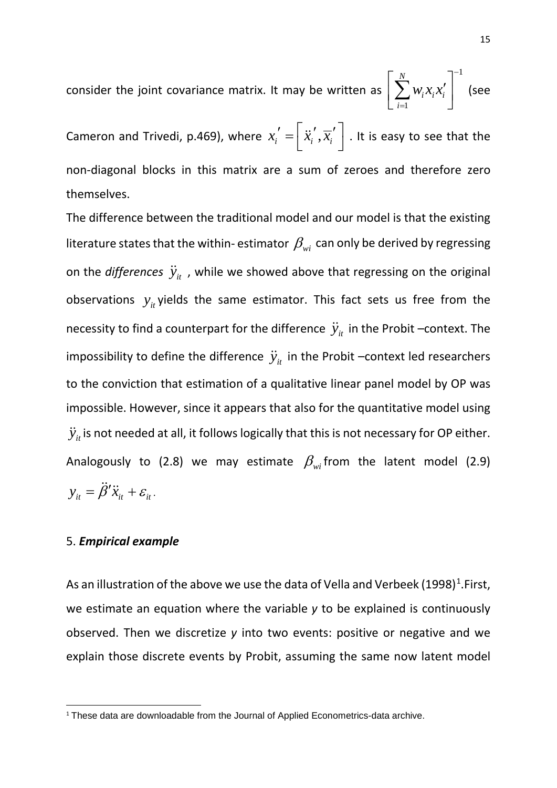consider the joint covariance matrix. It may be written as 1 1 *N*  $i^{\lambda}$ *i* $\lambda$ <sup>*i*</sup> *i*  $W_i X_i X$ −  $\left[ \sum_{i=1}^N w_i x_i x_i' \right]^{-1}$  (see

Cameron and Trivedi, p.469), where  $x_i' = \left \lfloor {\ddot{x}_i', \overline{x}_i'} \right \rfloor$  . It is easy to see that the non-diagonal blocks in this matrix are a sum of zeroes and therefore zero themselves.

The difference between the traditional model and our model is that the existing literature states that the within- estimator  $\beta_{wi}$  can only be derived by regressing on the *differences*  $\ddot{y}_{it}$ , while we showed above that regressing on the original observations  $y_{it}$  yields the same estimator. This fact sets us free from the necessity to find a counterpart for the difference  $\ddot{y}_i$  in the Probit –context. The impossibility to define the difference  $\ddot{y}_i$  in the Probit –context led researchers to the conviction that estimation of a qualitative linear panel model by OP was impossible. However, since it appears that also for the quantitative model using  $\ddot{y}_{it}$  is not needed at all, it follows logically that this is not necessary for OP either. Analogously to (2.8) we may estimate  $\beta_{wi}$  from the latent model (2.9)  $y_{it} = \ddot{\beta}' \ddot{x}_{it} + \varepsilon_{it}$ 

#### 5. *Empirical example*

As an illustration of the above we use the data of Vella and Verbeek ([1](#page-15-0)998)<sup>1</sup>.First, we estimate an equation where the variable *y* to be explained is continuously observed. Then we discretize *y* into two events: positive or negative and we explain those discrete events by Probit, assuming the same now latent model

<span id="page-15-0"></span><sup>&</sup>lt;sup>1</sup> These data are downloadable from the Journal of Applied Econometrics-data archive.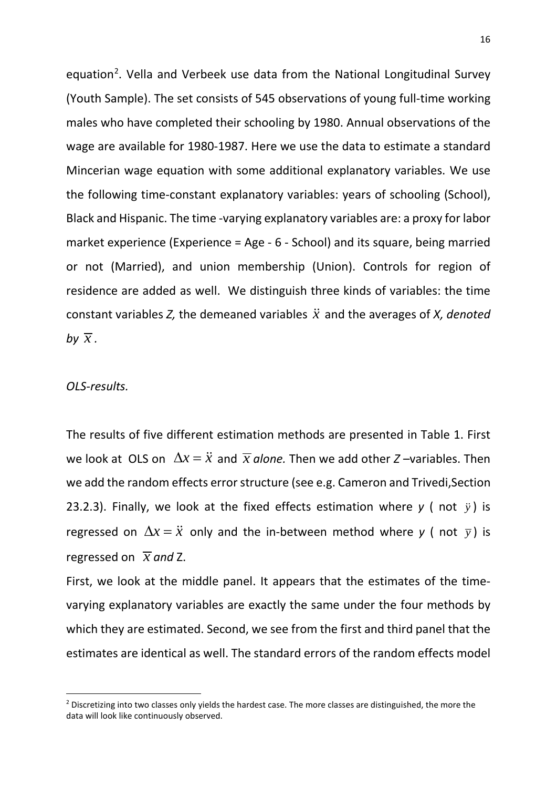equation<sup>[2](#page-16-0)</sup>. Vella and Verbeek use data from the National Longitudinal Survey (Youth Sample). The set consists of 545 observations of young full-time working males who have completed their schooling by 1980. Annual observations of the wage are available for 1980-1987. Here we use the data to estimate a standard Mincerian wage equation with some additional explanatory variables. We use the following time-constant explanatory variables: years of schooling (School), Black and Hispanic. The time -varying explanatory variables are: a proxy for labor market experience (Experience = Age - 6 - School) and its square, being married or not (Married), and union membership (Union). Controls for region of residence are added as well. We distinguish three kinds of variables: the time constant variables  $Z$ , the demeaned variables  $\ddot{x}$  and the averages of  $X$ , denoted *by*  $\overline{x}$ *.* 

#### *OLS-results.*

The results of five different estimation methods are presented in Table 1. First we look at OLS on  $\Delta x = \ddot{x}$  and  $\overline{x}$  *alone.* Then we add other *Z* –variables. Then we add the random effects error structure (see e.g. Cameron and Trivedi,Section 23.2.3). Finally, we look at the fixed effects estimation where  $y$  (not  $\ddot{y}$ ) is regressed on  $\Delta x = \ddot{x}$  only and the in-between method where *y* (not  $\overline{y}$ ) is regressed on  $\bar{x}$  *and* Z.

First, we look at the middle panel. It appears that the estimates of the timevarying explanatory variables are exactly the same under the four methods by which they are estimated. Second, we see from the first and third panel that the estimates are identical as well. The standard errors of the random effects model

<span id="page-16-0"></span><sup>&</sup>lt;sup>2</sup> Discretizing into two classes only yields the hardest case. The more classes are distinguished, the more the data will look like continuously observed.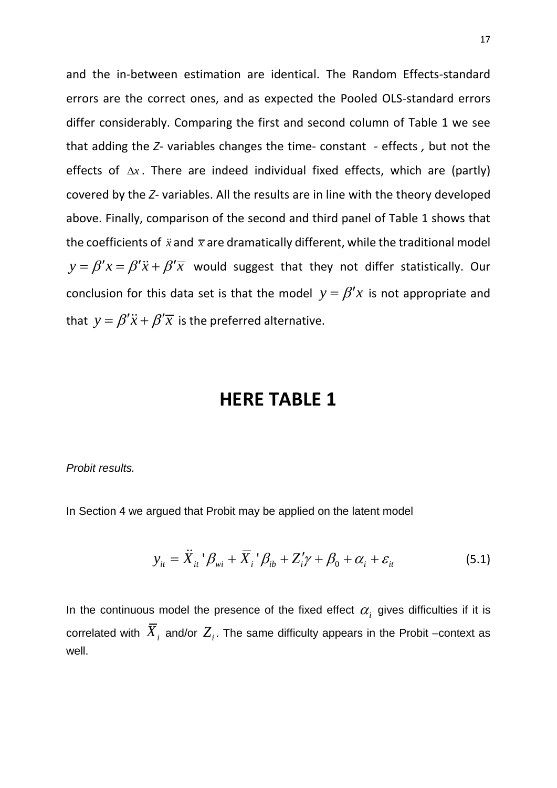and the in-between estimation are identical. The Random Effects-standard errors are the correct ones, and as expected the Pooled OLS-standard errors differ considerably. Comparing the first and second column of Table 1 we see that adding the *Z-* variables changes the time- constant *-* effects *,* but not the effects of ∆*x* . There are indeed individual fixed effects, which are (partly) covered by the *Z-* variables. All the results are in line with the theory developed above. Finally, comparison of the second and third panel of Table 1 shows that the coefficients of  $\ddot{x}$  and  $\bar{x}$  are dramatically different, while the traditional model  $y = \beta'x = \beta'\ddot{x} + \beta'\overline{x}$  would suggest that they not differ statistically. Our conclusion for this data set is that the model  $y = \beta' x$  is not appropriate and that  $y = \beta' \ddot{x} + \beta' \overline{x}$  is the preferred alternative.

# **HERE TABLE 1**

*Probit results.*

In Section 4 we argued that Probit may be applied on the latent model

$$
y_{it} = \ddot{X}_{it}^{\dagger} \beta_{wi} + \overline{X}_{i}^{\dagger} \beta_{ib} + Z_{i}^{\prime} \gamma + \beta_{0} + \alpha_{i} + \varepsilon_{it}
$$
 (5.1)

In the continuous model the presence of the fixed effect  $\alpha_i$  gives difficulties if it is correlated with  $\overline{X}_i$  and/or  $Z_i$ . The same difficulty appears in the Probit –context as well.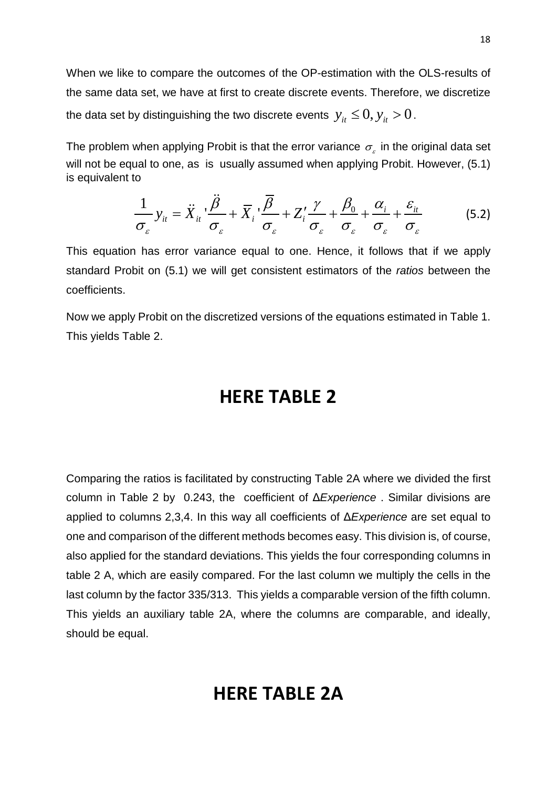When we like to compare the outcomes of the OP-estimation with the OLS-results of the same data set, we have at first to create discrete events. Therefore, we discretize the data set by distinguishing the two discrete events  $y_{it} \leq 0, y_{it} > 0$ .

The problem when applying Probit is that the error variance  $\sigma_{\varepsilon}$  in the original data set will not be equal to one, as is usually assumed when applying Probit. However, (5.1) is equivalent to

$$
\frac{1}{\sigma_{\varepsilon}} y_{it} = \ddot{X}_{it} \cdot \frac{\ddot{\beta}}{\sigma_{\varepsilon}} + \overline{X}_{i} \cdot \frac{\overline{\beta}}{\sigma_{\varepsilon}} + Z_{i}' \frac{\gamma}{\sigma_{\varepsilon}} + \frac{\beta_{0}}{\sigma_{\varepsilon}} + \frac{\alpha_{i}}{\sigma_{\varepsilon}} + \frac{\varepsilon_{it}}{\sigma_{\varepsilon}}
$$
(5.2)

This equation has error variance equal to one. Hence, it follows that if we apply standard Probit on (5.1) we will get consistent estimators of the *ratios* between the coefficients.

Now we apply Probit on the discretized versions of the equations estimated in Table 1. This yields Table 2.

# **HERE TABLE 2**

Comparing the ratios is facilitated by constructing Table 2A where we divided the first column in Table 2 by 0.243, the coefficient of Δ*Experience* . Similar divisions are applied to columns 2,3,4. In this way all coefficients of Δ*Experience* are set equal to one and comparison of the different methods becomes easy. This division is, of course, also applied for the standard deviations. This yields the four corresponding columns in table 2 A, which are easily compared. For the last column we multiply the cells in the last column by the factor 335/313. This yields a comparable version of the fifth column. This yields an auxiliary table 2A, where the columns are comparable, and ideally, should be equal.

# **HERE TABLE 2A**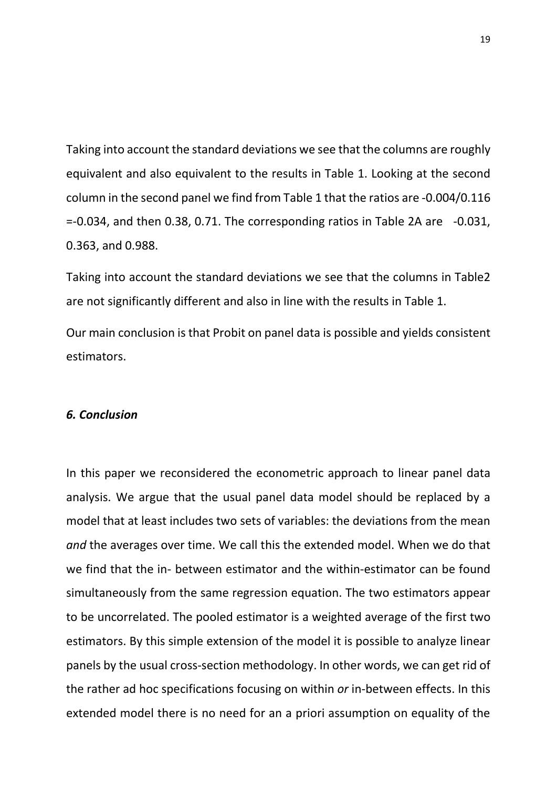Taking into account the standard deviations we see that the columns are roughly equivalent and also equivalent to the results in Table 1. Looking at the second column in the second panel we find from Table 1 that the ratios are -0.004/0.116 =-0.034, and then 0.38, 0.71. The corresponding ratios in Table 2A are -0.031, 0.363, and 0.988.

Taking into account the standard deviations we see that the columns in Table2 are not significantly different and also in line with the results in Table 1.

Our main conclusion is that Probit on panel data is possible and yields consistent estimators.

#### *6. Conclusion*

In this paper we reconsidered the econometric approach to linear panel data analysis. We argue that the usual panel data model should be replaced by a model that at least includes two sets of variables: the deviations from the mean *and* the averages over time. We call this the extended model. When we do that we find that the in- between estimator and the within-estimator can be found simultaneously from the same regression equation. The two estimators appear to be uncorrelated. The pooled estimator is a weighted average of the first two estimators. By this simple extension of the model it is possible to analyze linear panels by the usual cross-section methodology. In other words, we can get rid of the rather ad hoc specifications focusing on within *or* in-between effects. In this extended model there is no need for an a priori assumption on equality of the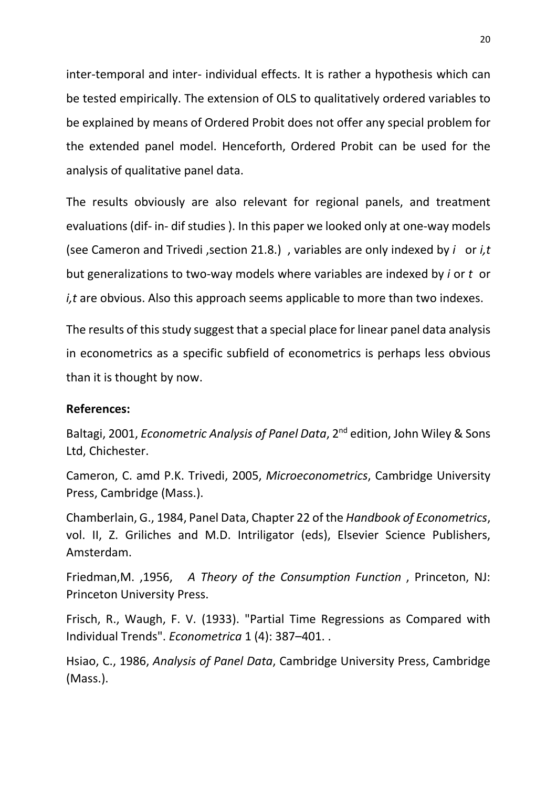inter-temporal and inter- individual effects. It is rather a hypothesis which can be tested empirically. The extension of OLS to qualitatively ordered variables to be explained by means of Ordered Probit does not offer any special problem for the extended panel model. Henceforth, Ordered Probit can be used for the analysis of qualitative panel data.

The results obviously are also relevant for regional panels, and treatment evaluations (dif- in- dif studies ). In this paper we looked only at one-way models (see Cameron and Trivedi ,section 21.8.) , variables are only indexed by *i* or *i,t*  but generalizations to two-way models where variables are indexed by *i* or *t* or *i,t* are obvious. Also this approach seems applicable to more than two indexes.

The results of this study suggest that a special place for linear panel data analysis in econometrics as a specific subfield of econometrics is perhaps less obvious than it is thought by now.

### **References:**

Baltagi, 2001, *Econometric Analysis of Panel Data*, 2nd edition, John Wiley & Sons Ltd, Chichester.

Cameron, C. amd P.K. Trivedi, 2005, *Microeconometrics*, Cambridge University Press, Cambridge (Mass.).

Chamberlain, G., 1984, Panel Data, Chapter 22 of the *Handbook of Econometrics*, vol. II, Z. Griliches and M.D. Intriligator (eds), Elsevier Science Publishers, Amsterdam.

Friedman,M. ,1956, *[A Theory of the Consumption Function](http://www.nber.org/chapters/c4405.pdf)* , Princeton, NJ: Princeton University Press.

Frisch, R., Waugh, F. V. (1933). "Partial Time Regressions as Compared with Individual Trends". *[Econometrica](http://en.wikipedia.org/wiki/Econometrica)* 1 (4): 387–401. .

Hsiao, C., 1986, *Analysis of Panel Data*, Cambridge University Press, Cambridge (Mass.).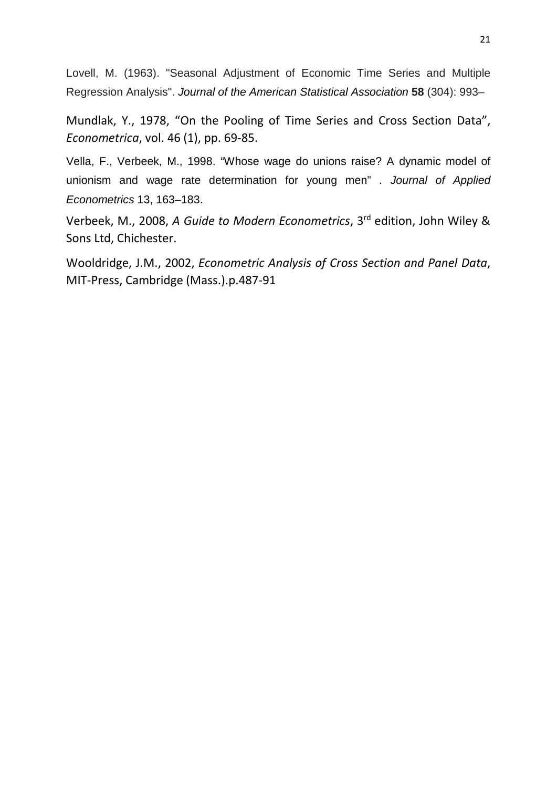Lovell, M. (1963). "Seasonal Adjustment of Economic Time Series and Multiple Regression Analysis". *[Journal of the American Statistical Association](http://en.wikipedia.org/wiki/Journal_of_the_American_Statistical_Association)* **58** (304): 993–

Mundlak, Y., 1978, "On the Pooling of Time Series and Cross Section Data", *Econometrica*, vol. 46 (1), pp. 69-85.

Vella, F., Verbeek, M., 1998. "Whose wage do unions raise? A dynamic model of unionism and wage rate determination for young men" . *Journal of Applied Econometrics* 13, 163–183.

Verbeek, M., 2008, *A Guide to Modern Econometrics*, 3rd edition, John Wiley & Sons Ltd, Chichester.

Wooldridge, J.M., 2002, *Econometric Analysis of Cross Section and Panel Data*, MIT-Press, Cambridge (Mass.).p.487-91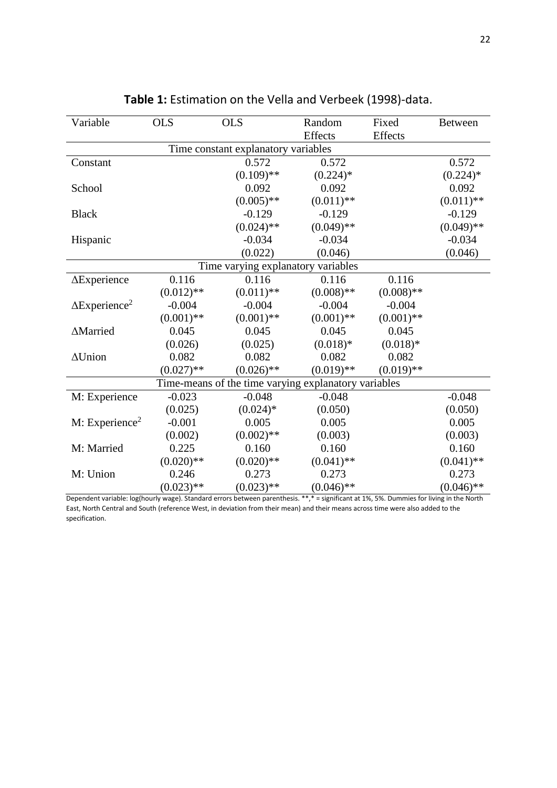| Variable                                             | <b>OLS</b>   | <b>OLS</b>   | Random         | Fixed        | <b>Between</b> |  |
|------------------------------------------------------|--------------|--------------|----------------|--------------|----------------|--|
|                                                      |              |              | <b>Effects</b> | Effects      |                |  |
| Time constant explanatory variables                  |              |              |                |              |                |  |
| Constant                                             |              | 0.572        | 0.572          |              | 0.572          |  |
|                                                      |              | $(0.109)$ ** | $(0.224)$ *    |              | $(0.224)$ *    |  |
| School                                               |              | 0.092        | 0.092          |              | 0.092          |  |
|                                                      |              | $(0.005)$ ** | $(0.011)$ **   |              | $(0.011)$ **   |  |
| <b>Black</b>                                         |              | $-0.129$     | $-0.129$       |              | $-0.129$       |  |
|                                                      |              | $(0.024)$ ** | $(0.049)$ **   |              | $(0.049)$ **   |  |
| Hispanic                                             |              | $-0.034$     | $-0.034$       |              | $-0.034$       |  |
|                                                      |              | (0.022)      | (0.046)        |              | (0.046)        |  |
| Time varying explanatory variables                   |              |              |                |              |                |  |
| $\Delta$ Experience                                  | 0.116        | 0.116        | 0.116          | 0.116        |                |  |
|                                                      | $(0.012)$ ** | $(0.011)$ ** | $(0.008)$ **   | $(0.008)$ ** |                |  |
| $\Delta$ Experience <sup>2</sup>                     | $-0.004$     | $-0.004$     | $-0.004$       | $-0.004$     |                |  |
|                                                      | $(0.001)$ ** | $(0.001)$ ** | $(0.001)$ **   | $(0.001)$ ** |                |  |
| ∆Married                                             | 0.045        | 0.045        | 0.045          | 0.045        |                |  |
|                                                      | (0.026)      | (0.025)      | $(0.018)*$     | $(0.018)*$   |                |  |
| $\Delta$ Union                                       | 0.082        | 0.082        | 0.082          | 0.082        |                |  |
|                                                      | $(0.027)$ ** | $(0.026)$ ** | $(0.019)$ **   | $(0.019)$ ** |                |  |
| Time-means of the time varying explanatory variables |              |              |                |              |                |  |
| M: Experience                                        | $-0.023$     | $-0.048$     | $-0.048$       |              | $-0.048$       |  |
|                                                      | (0.025)      | $(0.024)*$   | (0.050)        |              | (0.050)        |  |
| $M:$ Experience <sup>2</sup>                         | $-0.001$     | 0.005        | 0.005          |              | 0.005          |  |
|                                                      | (0.002)      | $(0.002)$ ** | (0.003)        |              | (0.003)        |  |
| M: Married                                           | 0.225        | 0.160        | 0.160          |              | 0.160          |  |
|                                                      | $(0.020)$ ** | $(0.020)$ ** | $(0.041)$ **   |              | $(0.041)$ **   |  |
| M: Union                                             | 0.246        | 0.273        | 0.273          |              | 0.273          |  |
|                                                      | $(0.023)$ ** | $(0.023)$ ** | $(0.046)$ **   |              | $(0.046)$ **   |  |

**Table 1:** Estimation on the Vella and Verbeek (1998)-data.

Dependent variable: log(hourly wage). Standard errors between parenthesis. \*\*,\* = significant at 1%, 5%. Dummies for living in the North East, North Central and South (reference West, in deviation from their mean) and their means across time were also added to the specification.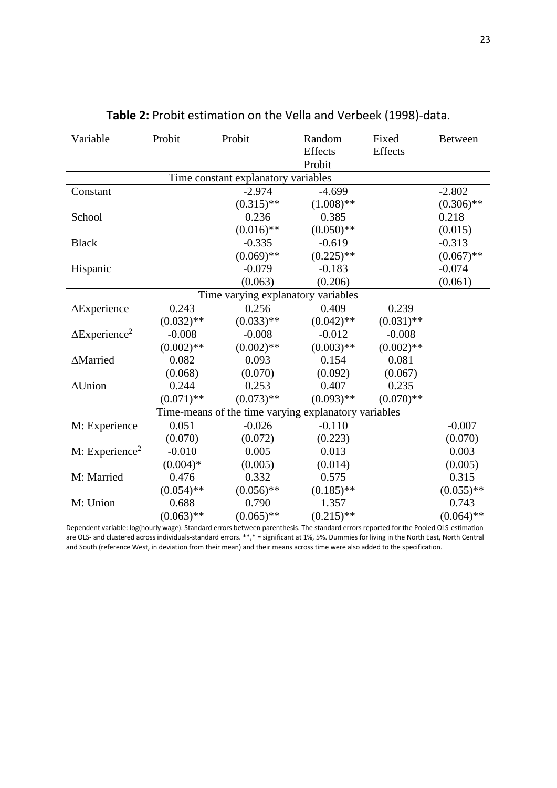| Variable                                             | Probit       | Probit       | Random<br><b>Effects</b> | Fixed<br><b>Effects</b> | <b>Between</b> |  |
|------------------------------------------------------|--------------|--------------|--------------------------|-------------------------|----------------|--|
|                                                      |              |              | Probit                   |                         |                |  |
| Time constant explanatory variables                  |              |              |                          |                         |                |  |
| Constant                                             |              | $-2.974$     | $-4.699$                 |                         | $-2.802$       |  |
|                                                      |              | $(0.315)$ ** | $(1.008)$ **             |                         | $(0.306)$ **   |  |
| School                                               |              | 0.236        | 0.385                    |                         | 0.218          |  |
|                                                      |              | $(0.016)$ ** | $(0.050)$ **             |                         | (0.015)        |  |
| <b>Black</b>                                         |              | $-0.335$     | $-0.619$                 |                         | $-0.313$       |  |
|                                                      |              | $(0.069)$ ** | $(0.225)$ **             |                         | $(0.067)$ **   |  |
| Hispanic                                             |              | $-0.079$     | $-0.183$                 |                         | $-0.074$       |  |
|                                                      |              | (0.063)      | (0.206)                  |                         | (0.061)        |  |
| Time varying explanatory variables                   |              |              |                          |                         |                |  |
| $\Delta$ Experience                                  | 0.243        | 0.256        | 0.409                    | 0.239                   |                |  |
|                                                      | $(0.032)$ ** | $(0.033)$ ** | $(0.042)$ **             | $(0.031)$ **            |                |  |
| $\Delta$ Experience <sup>2</sup>                     | $-0.008$     | $-0.008$     | $-0.012$                 | $-0.008$                |                |  |
|                                                      | $(0.002)$ ** | $(0.002)$ ** | $(0.003)$ **             | $(0.002)$ **            |                |  |
| ∆Married                                             | 0.082        | 0.093        | 0.154                    | 0.081                   |                |  |
|                                                      | (0.068)      | (0.070)      | (0.092)                  | (0.067)                 |                |  |
| $\Delta$ Union                                       | 0.244        | 0.253        | 0.407                    | 0.235                   |                |  |
|                                                      | $(0.071)$ ** | $(0.073)$ ** | $(0.093)$ **             | $(0.070)**$             |                |  |
| Time-means of the time varying explanatory variables |              |              |                          |                         |                |  |
| M: Experience                                        | 0.051        | $-0.026$     | $-0.110$                 |                         | $-0.007$       |  |
|                                                      | (0.070)      | (0.072)      | (0.223)                  |                         | (0.070)        |  |
| M: Experience <sup>2</sup>                           | $-0.010$     | 0.005        | 0.013                    |                         | 0.003          |  |
|                                                      | $(0.004)*$   | (0.005)      | (0.014)                  |                         | (0.005)        |  |
| M: Married                                           | 0.476        | 0.332        | 0.575                    |                         | 0.315          |  |
|                                                      | $(0.054)$ ** | $(0.056)$ ** | $(0.185)$ **             |                         | $(0.055)$ **   |  |
| M: Union                                             | 0.688        | 0.790        | 1.357                    |                         | 0.743          |  |
|                                                      | $(0.063)$ ** | $(0.065)$ ** | $(0.215)$ **             |                         | $(0.064)$ **   |  |

### **Table 2:** Probit estimation on the Vella and Verbeek (1998)-data.

Dependent variable: log(hourly wage). Standard errors between parenthesis. The standard errors reported for the Pooled OLS-estimation are OLS- and clustered across individuals-standard errors. \*\*,\* = significant at 1%, 5%. Dummies for living in the North East, North Central and South (reference West, in deviation from their mean) and their means across time were also added to the specification.